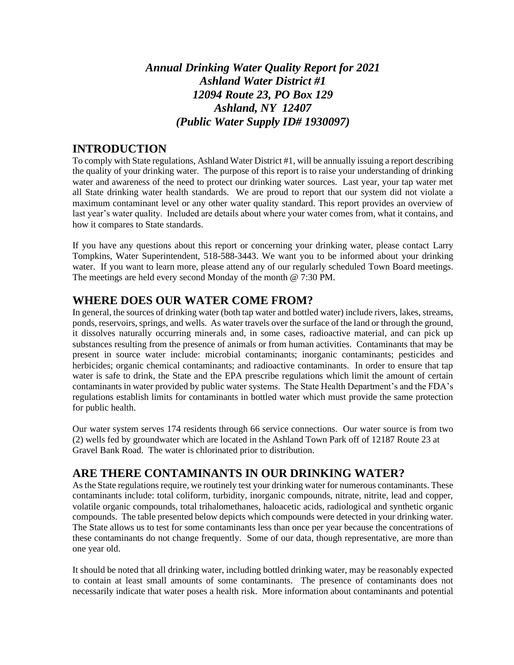*Annual Drinking Water Quality Report for 2021 Ashland Water District #1 12094 Route 23, PO Box 129 Ashland, NY 12407 (Public Water Supply ID# 1930097)*

#### **INTRODUCTION**

To comply with State regulations, Ashland Water District #1, will be annually issuing a report describing the quality of your drinking water. The purpose of this report is to raise your understanding of drinking water and awareness of the need to protect our drinking water sources. Last year, your tap water met all State drinking water health standards. We are proud to report that our system did not violate a maximum contaminant level or any other water quality standard. This report provides an overview of last year's water quality. Included are details about where your water comes from, what it contains, and how it compares to State standards.

If you have any questions about this report or concerning your drinking water, please contact Larry Tompkins, Water Superintendent, 518-588-3443. We want you to be informed about your drinking water. If you want to learn more, please attend any of our regularly scheduled Town Board meetings. The meetings are held every second Monday of the month @ 7:30 PM.

#### **WHERE DOES OUR WATER COME FROM?**

In general, the sources of drinking water (both tap water and bottled water) include rivers, lakes, streams, ponds, reservoirs, springs, and wells. As water travels over the surface of the land or through the ground, it dissolves naturally occurring minerals and, in some cases, radioactive material, and can pick up substances resulting from the presence of animals or from human activities. Contaminants that may be present in source water include: microbial contaminants; inorganic contaminants; pesticides and herbicides; organic chemical contaminants; and radioactive contaminants. In order to ensure that tap water is safe to drink, the State and the EPA prescribe regulations which limit the amount of certain contaminants in water provided by public water systems. The State Health Department's and the FDA's regulations establish limits for contaminants in bottled water which must provide the same protection for public health.

Our water system serves 174 residents through 66 service connections. Our water source is from two (2) wells fed by groundwater which are located in the Ashland Town Park off of 12187 Route 23 at Gravel Bank Road. The water is chlorinated prior to distribution.

### **ARE THERE CONTAMINANTS IN OUR DRINKING WATER?**

As the State regulations require, we routinely test your drinking water for numerous contaminants. These contaminants include: total coliform, turbidity, inorganic compounds, nitrate, nitrite, lead and copper, volatile organic compounds, total trihalomethanes, haloacetic acids, radiological and synthetic organic compounds. The table presented below depicts which compounds were detected in your drinking water. The State allows us to test for some contaminants less than once per year because the concentrations of these contaminants do not change frequently. Some of our data, though representative, are more than one year old.

It should be noted that all drinking water, including bottled drinking water, may be reasonably expected to contain at least small amounts of some contaminants. The presence of contaminants does not necessarily indicate that water poses a health risk. More information about contaminants and potential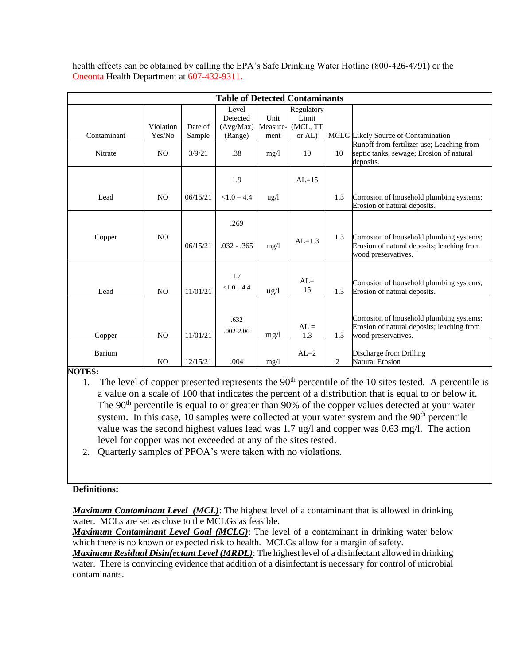| health effects can be obtained by calling the EPA's Safe Drinking Water Hotline (800-426-4791) or the |  |
|-------------------------------------------------------------------------------------------------------|--|
| Oneonta Health Department at 607-432-9311.                                                            |  |

| <b>Table of Detected Contaminants</b> |                |          |               |                 |            |     |                                                                                        |  |  |
|---------------------------------------|----------------|----------|---------------|-----------------|------------|-----|----------------------------------------------------------------------------------------|--|--|
|                                       |                |          | Level         |                 | Regulatory |     |                                                                                        |  |  |
|                                       |                |          | Detected      | Unit            | Limit      |     |                                                                                        |  |  |
|                                       | Violation      | Date of  | (Avg/Max)     | Measure-        | (MCL, TT   |     |                                                                                        |  |  |
| Contaminant                           | Yes/No         | Sample   | (Range)       | ment            | or AL)     |     | MCLG Likely Source of Contamination                                                    |  |  |
|                                       |                |          |               |                 |            |     | Runoff from fertilizer use; Leaching from                                              |  |  |
| Nitrate                               | N <sub>O</sub> | 3/9/21   | .38           | mg/l            | 10         | 10  | septic tanks, sewage; Erosion of natural                                               |  |  |
|                                       |                |          |               |                 |            |     | deposits.                                                                              |  |  |
|                                       |                |          | 1.9           |                 | $AI = 15$  |     |                                                                                        |  |  |
|                                       |                |          |               |                 |            |     |                                                                                        |  |  |
| Lead                                  | N <sub>O</sub> | 06/15/21 | $< 1.0 - 4.4$ | $\frac{u g}{l}$ |            | 1.3 | Corrosion of household plumbing systems;                                               |  |  |
|                                       |                |          |               |                 |            |     | Erosion of natural deposits.                                                           |  |  |
|                                       |                |          |               |                 |            |     |                                                                                        |  |  |
|                                       |                |          | .269          |                 |            |     |                                                                                        |  |  |
|                                       | N <sub>O</sub> |          |               |                 |            | 1.3 |                                                                                        |  |  |
| Copper                                |                | 06/15/21 | $.032 - .365$ | mg/1            | $AI = 1.3$ |     | Corrosion of household plumbing systems;<br>Erosion of natural deposits; leaching from |  |  |
|                                       |                |          |               |                 |            |     | wood preservatives.                                                                    |  |  |
|                                       |                |          |               |                 |            |     |                                                                                        |  |  |
|                                       |                |          |               |                 |            |     |                                                                                        |  |  |
|                                       |                |          | 1.7           |                 | $AL=$      |     | Corrosion of household plumbing systems;                                               |  |  |
| Lead                                  | N <sub>O</sub> | 11/01/21 | $< 1.0 - 4.4$ | ug/l            | 15         | 1.3 | Erosion of natural deposits.                                                           |  |  |
|                                       |                |          |               |                 |            |     |                                                                                        |  |  |
|                                       |                |          |               |                 |            |     |                                                                                        |  |  |
|                                       |                |          | .632          |                 |            |     | Corrosion of household plumbing systems;                                               |  |  |
|                                       |                |          | $.002 - 2.06$ |                 | $AI =$     |     | Erosion of natural deposits; leaching from                                             |  |  |
| Copper                                | N <sub>O</sub> | 11/01/21 |               | mg/1            | 1.3        | 1.3 | wood preservatives.                                                                    |  |  |
|                                       |                |          |               |                 |            |     |                                                                                        |  |  |
| Barium                                |                |          |               |                 | $AL=2$     |     | Discharge from Drilling                                                                |  |  |
|                                       | N <sub>O</sub> | 12/15/21 | .004          | mg/l            |            | 2   | <b>Natural Erosion</b>                                                                 |  |  |

**NOTES:**

- 1. The level of copper presented represents the  $90<sup>th</sup>$  percentile of the 10 sites tested. A percentile is a value on a scale of 100 that indicates the percent of a distribution that is equal to or below it. The 90<sup>th</sup> percentile is equal to or greater than 90% of the copper values detected at your water system. In this case,  $10$  samples were collected at your water system and the  $90<sup>th</sup>$  percentile value was the second highest values lead was 1.7 ug/l and copper was 0.63 mg/l. The action level for copper was not exceeded at any of the sites tested.
- 2. Quarterly samples of PFOA's were taken with no violations.

#### **Definitions:**

*Maximum Contaminant Level (MCL)*: The highest level of a contaminant that is allowed in drinking water. MCLs are set as close to the MCLGs as feasible.

*Maximum Contaminant Level Goal (MCLG)*: The level of a contaminant in drinking water below which there is no known or expected risk to health. MCLGs allow for a margin of safety.

*Maximum Residual Disinfectant Level (MRDL)*: The highest level of a disinfectant allowed in drinking water. There is convincing evidence that addition of a disinfectant is necessary for control of microbial contaminants.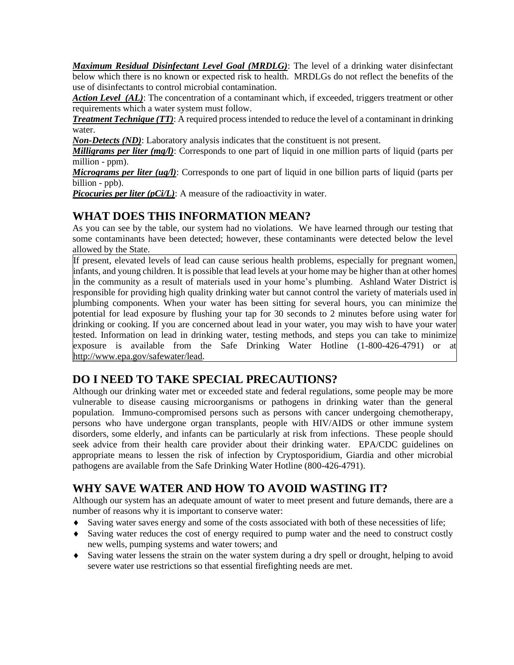*Maximum Residual Disinfectant Level Goal (MRDLG)*: The level of a drinking water disinfectant below which there is no known or expected risk to health. MRDLGs do not reflect the benefits of the use of disinfectants to control microbial contamination.

*Action Level (AL)*: The concentration of a contaminant which, if exceeded, triggers treatment or other requirements which a water system must follow.

*Treatment Technique (TT)*: A required process intended to reduce the level of a contaminant in drinking water.

*Non-Detects (ND)*: Laboratory analysis indicates that the constituent is not present.

*Milligrams per liter (mg/l)*: Corresponds to one part of liquid in one million parts of liquid (parts per million - ppm).

*Micrograms per liter (ug/l)*: Corresponds to one part of liquid in one billion parts of liquid (parts per billion - ppb).

*Picocuries per liter (pCi/L)*: A measure of the radioactivity in water.

## **WHAT DOES THIS INFORMATION MEAN?**

As you can see by the table, our system had no violations. We have learned through our testing that some contaminants have been detected; however, these contaminants were detected below the level allowed by the State.

If present, elevated levels of lead can cause serious health problems, especially for pregnant women, infants, and young children. It is possible that lead levels at your home may be higher than at other homes in the community as a result of materials used in your home's plumbing. Ashland Water District is responsible for providing high quality drinking water but cannot control the variety of materials used in plumbing components. When your water has been sitting for several hours, you can minimize the potential for lead exposure by flushing your tap for 30 seconds to 2 minutes before using water for drinking or cooking. If you are concerned about lead in your water, you may wish to have your water tested. Information on lead in drinking water, testing methods, and steps you can take to minimize exposure is available from the Safe Drinking Water Hotline (1-800-426-4791) or at http://www.epa.gov/safewater/lead.

## **DO I NEED TO TAKE SPECIAL PRECAUTIONS?**

Although our drinking water met or exceeded state and federal regulations, some people may be more vulnerable to disease causing microorganisms or pathogens in drinking water than the general population. Immuno-compromised persons such as persons with cancer undergoing chemotherapy, persons who have undergone organ transplants, people with HIV/AIDS or other immune system disorders, some elderly, and infants can be particularly at risk from infections. These people should seek advice from their health care provider about their drinking water. EPA/CDC guidelines on appropriate means to lessen the risk of infection by Cryptosporidium, Giardia and other microbial pathogens are available from the Safe Drinking Water Hotline (800-426-4791).

## **WHY SAVE WATER AND HOW TO AVOID WASTING IT?**

Although our system has an adequate amount of water to meet present and future demands, there are a number of reasons why it is important to conserve water:

- Saving water saves energy and some of the costs associated with both of these necessities of life;
- Saving water reduces the cost of energy required to pump water and the need to construct costly new wells, pumping systems and water towers; and
- Saving water lessens the strain on the water system during a dry spell or drought, helping to avoid severe water use restrictions so that essential firefighting needs are met.